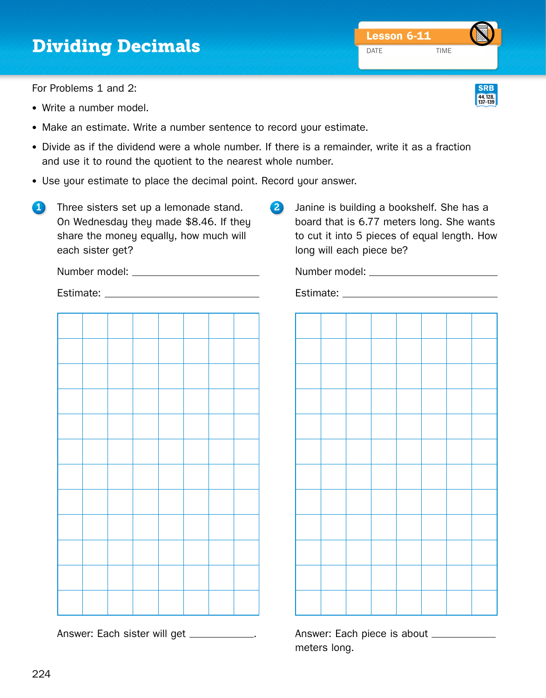## **Dividing Decimals** DATE TIME

For Problems 1 and 2:

- Write a number model.
- Make an estimate. Write a number sentence to record your estimate.
- Divide as if the dividend were a whole number. If there is a remainder, write it as a fraction and use it to round the quotient to the nearest whole number.
- Use your estimate to place the decimal point. Record your answer.
- 1 Three sisters set up a lemonade stand. On Wednesday they made \$8.46. If they share the money equally, how much will each sister get?
- 2 Janine is building a bookshelf. She has a board that is 6.77 meters long. She wants to cut it into 5 pieces of equal length. How long will each piece be?

Number model:

Estimate:

Answer: Each sister will get \_\_\_\_\_\_\_\_\_\_\_.

Answer: Each piece is about meters long.

| Estimate: |  |  |  |  |  |  |  |  |  |  |  |
|-----------|--|--|--|--|--|--|--|--|--|--|--|
|           |  |  |  |  |  |  |  |  |  |  |  |
|           |  |  |  |  |  |  |  |  |  |  |  |
|           |  |  |  |  |  |  |  |  |  |  |  |
|           |  |  |  |  |  |  |  |  |  |  |  |
|           |  |  |  |  |  |  |  |  |  |  |  |
|           |  |  |  |  |  |  |  |  |  |  |  |
|           |  |  |  |  |  |  |  |  |  |  |  |
|           |  |  |  |  |  |  |  |  |  |  |  |
|           |  |  |  |  |  |  |  |  |  |  |  |
|           |  |  |  |  |  |  |  |  |  |  |  |
|           |  |  |  |  |  |  |  |  |  |  |  |
|           |  |  |  |  |  |  |  |  |  |  |  |

Number model:

Estimate: